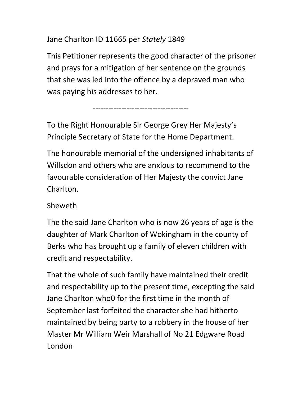## Jane Charlton ID 11665 per Stately 1849

-------------------------------------

This Petitioner represents the good character of the prisoner and prays for a mitigation of her sentence on the grounds that she was led into the offence by a depraved man who was paying his addresses to her.

To the Right Honourable Sir George Grey Her Majesty's Principle Secretary of State for the Home Department.

The honourable memorial of the undersigned inhabitants of Willsdon and others who are anxious to recommend to the favourable consideration of Her Majesty the convict Jane Charlton.

## Sheweth

The the said Jane Charlton who is now 26 years of age is the daughter of Mark Charlton of Wokingham in the county of Berks who has brought up a family of eleven children with credit and respectability.

That the whole of such family have maintained their credit and respectability up to the present time, excepting the said Jane Charlton who0 for the first time in the month of September last forfeited the character she had hitherto maintained by being party to a robbery in the house of her Master Mr William Weir Marshall of No 21 Edgware Road London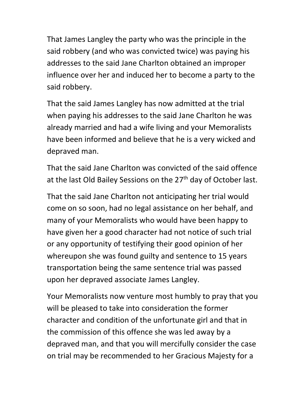That James Langley the party who was the principle in the said robbery (and who was convicted twice) was paying his addresses to the said Jane Charlton obtained an improper influence over her and induced her to become a party to the said robbery.

That the said James Langley has now admitted at the trial when paying his addresses to the said Jane Charlton he was already married and had a wife living and your Memoralists have been informed and believe that he is a very wicked and depraved man.

That the said Jane Charlton was convicted of the said offence at the last Old Bailey Sessions on the 27<sup>th</sup> day of October last.

That the said Jane Charlton not anticipating her trial would come on so soon, had no legal assistance on her behalf, and many of your Memoralists who would have been happy to have given her a good character had not notice of such trial or any opportunity of testifying their good opinion of her whereupon she was found guilty and sentence to 15 years transportation being the same sentence trial was passed upon her depraved associate James Langley.

Your Memoralists now venture most humbly to pray that you will be pleased to take into consideration the former character and condition of the unfortunate girl and that in the commission of this offence she was led away by a depraved man, and that you will mercifully consider the case on trial may be recommended to her Gracious Majesty for a